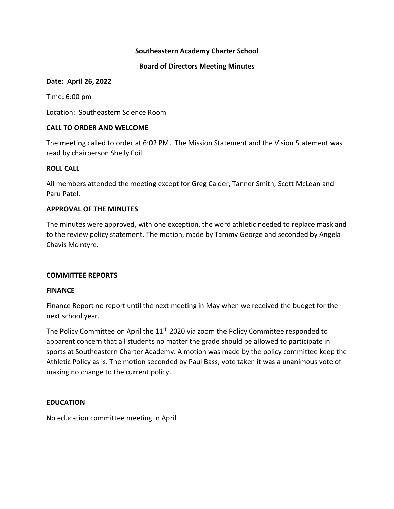## **Southeastern Academy Charter School**

#### **Board of Directors Meeting Minutes**

#### **Date: April 26, 2022**

Time: 6:00 pm

Location: Southeastern Science Room

## **CALL TO ORDER AND WELCOME**

The meeting called to order at 6:02 PM. The Mission Statement and the Vision Statement was read by chairperson Shelly Foil.

## **ROLL CALL**

All members attended the meeting except for Greg Calder, Tanner Smith, Scott McLean and Paru Patel.

## **APPROVAL OF THE MINUTES**

The minutes were approved, with one exception, the word athletic needed to replace mask and to the review policy statement. The motion, made by Tammy George and seconded by Angela Chavis McIntyre.

## **COMMITTEE REPORTS**

## **FINANCE**

Finance Report no report until the next meeting in May when we received the budget for the next school year.

The Policy Committee on April the 11<sup>th</sup> 2020 via zoom the Policy Committee responded to apparent concern that all students no matter the grade should be allowed to participate in sports at Southeastern Charter Academy. A motion was made by the policy committee keep the Athletic Policy as is. The motion seconded by Paul Bass; vote taken it was a unanimous vote of making no change to the current policy.

## **EDUCATION**

No education committee meeting in April